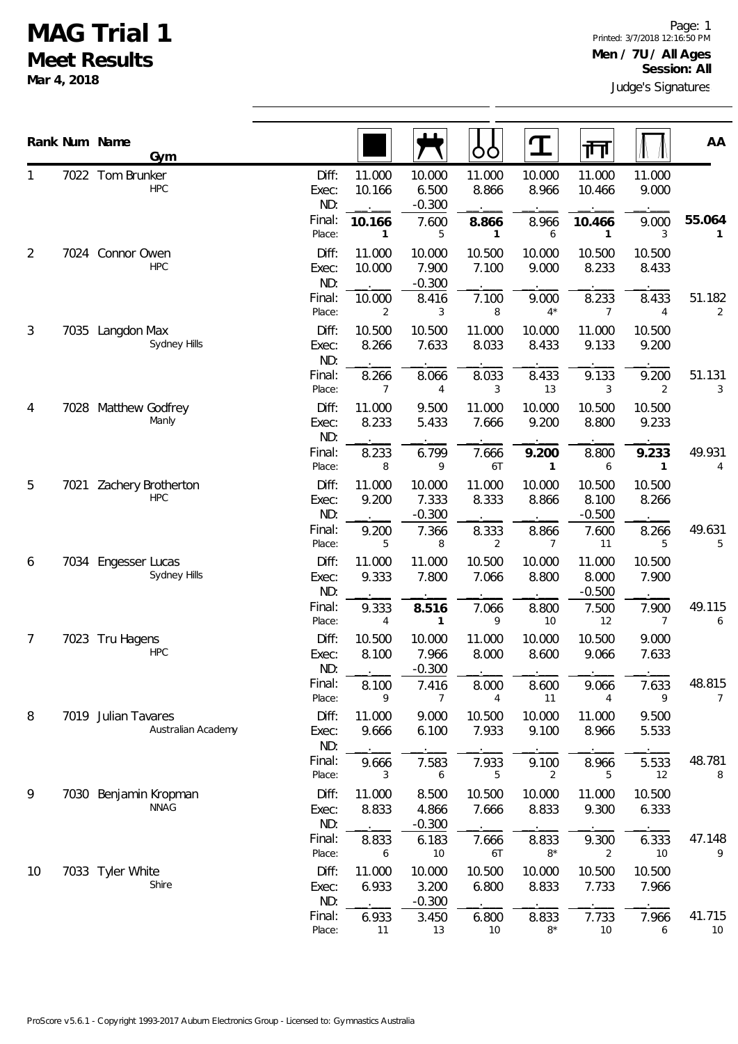## **MAG Trial 1 Meet Results**

**Mar 4, 2018**

|                |      | Rank Num Name<br>Gym                      |                       |                  |                             | OÓ              | <u>ፐ</u>                | 帀                           |                         | AA           |
|----------------|------|-------------------------------------------|-----------------------|------------------|-----------------------------|-----------------|-------------------------|-----------------------------|-------------------------|--------------|
| 1              |      | 7022 Tom Brunker<br><b>HPC</b>            | Diff:<br>Exec:<br>ND: | 11.000<br>10.166 | 10.000<br>6.500<br>$-0.300$ | 11.000<br>8.866 | 10.000<br>8.966         | 11.000<br>10.466            | 11.000<br>9.000         |              |
|                |      |                                           | Final:<br>Place:      | 10.166<br>1      | 7.600<br>5                  | 8.866<br>1      | 8.966<br>6              | 10.466<br>1                 | 9.000<br>3              | 55.064<br>1  |
| 2              |      | 7024 Connor Owen<br><b>HPC</b>            | Diff:<br>Exec:<br>ND: | 11.000<br>10.000 | 10.000<br>7.900<br>$-0.300$ | 10.500<br>7.100 | 10.000<br>9.000         | 10.500<br>8.233             | 10.500<br>8.433         |              |
|                |      |                                           | Final:<br>Place:      | 10.000<br>2      | 8.416<br>3                  | 7.100<br>8      | 9.000<br>$4*$           | 8.233<br>7                  | 8.433<br>4              | 51.182<br>2  |
| $\mathfrak{Z}$ |      | 7035 Langdon Max<br>Sydney Hills          | Diff:<br>Exec:<br>ND: | 10.500<br>8.266  | 10.500<br>7.633             | 11.000<br>8.033 | 10.000<br>8.433         | 11.000<br>9.133             | 10.500<br>9.200         |              |
|                |      |                                           | Final:<br>Place:      | 8.266<br>7       | 8.066<br>$\overline{4}$     | 8.033<br>3      | 8.433<br>13             | 9.133<br>3                  | 9.200<br>$\overline{2}$ | 51.131<br>3  |
| 4              |      | 7028 Matthew Godfrey<br>Manly             | Diff:<br>Exec:<br>ND: | 11.000<br>8.233  | 9.500<br>5.433              | 11.000<br>7.666 | 10.000<br>9.200         | 10.500<br>8.800             | 10.500<br>9.233         |              |
|                |      |                                           | Final:<br>Place:      | 8.233<br>8       | 6.799<br>9                  | 7.666<br>6T     | 9.200<br>1              | 8.800<br>6                  | 9.233<br>$\mathbf{1}$   | 49.931<br>4  |
| 5              | 7021 | Zachery Brotherton<br><b>HPC</b>          | Diff:<br>Exec:<br>ND: | 11.000<br>9.200  | 10.000<br>7.333<br>$-0.300$ | 11.000<br>8.333 | 10.000<br>8.866         | 10.500<br>8.100<br>$-0.500$ | 10.500<br>8.266         |              |
|                |      |                                           | Final:<br>Place:      | 9.200<br>5       | 7.366<br>8                  | 8.333<br>2      | 8.866<br>$\overline{7}$ | 7.600<br>11                 | 8.266<br>5              | 49.631<br>5  |
| 6              |      | 7034 Engesser Lucas<br>Sydney Hills       | Diff:<br>Exec:<br>ND: | 11.000<br>9.333  | 11.000<br>7.800             | 10.500<br>7.066 | 10.000<br>8.800         | 11.000<br>8.000<br>$-0.500$ | 10.500<br>7.900         |              |
|                |      |                                           | Final:<br>Place:      | 9.333<br>4       | 8.516<br>1                  | 7.066<br>9      | 8.800<br>10             | 7.500<br>12                 | 7.900<br>$\overline{7}$ | 49.115<br>6  |
| 7              | 7023 | Tru Hagens<br><b>HPC</b>                  | Diff:<br>Exec:<br>ND: | 10.500<br>8.100  | 10.000<br>7.966<br>$-0.300$ | 11.000<br>8.000 | 10.000<br>8.600         | 10.500<br>9.066             | 9.000<br>7.633          |              |
|                |      |                                           | Final:<br>Place:      | 8.100<br>9       | 7.416<br>7                  | 8.000<br>4      | 8.600<br>11             | 9.066<br>4                  | 7.633<br>9              | 48.815<br>7  |
| 8              |      | 7019 Julian Tavares<br>Australian Academy | Diff:<br>Exec:<br>ND: | 11.000<br>9.666  | 9.000<br>6.100              | 10.500<br>7.933 | 10.000<br>9.100         | 11.000<br>8.966             | 9.500<br>5.533          |              |
|                |      |                                           | Final:<br>Place:      | 9.666<br>3       | 7.583<br>6                  | 7.933<br>5      | 9.100<br>2              | 8.966<br>5                  | 5.533<br>12             | 48.781<br>8  |
| 9              | 7030 | Benjamin Kropman<br><b>NNAG</b>           | Diff:<br>Exec:<br>ND: | 11.000<br>8.833  | 8.500<br>4.866<br>$-0.300$  | 10.500<br>7.666 | 10.000<br>8.833         | 11.000<br>9.300             | 10.500<br>6.333         |              |
|                |      |                                           | Final:<br>Place:      | 8.833<br>6       | 6.183<br>10                 | 7.666<br>6T     | 8.833<br>$8*$           | 9.300<br>2                  | 6.333<br>10             | 47.148<br>9  |
| 10             |      | 7033 Tyler White<br>Shire                 | Diff:<br>Exec:<br>ND: | 11.000<br>6.933  | 10.000<br>3.200<br>$-0.300$ | 10.500<br>6.800 | 10.000<br>8.833         | 10.500<br>7.733             | 10.500<br>7.966         |              |
|                |      |                                           | Final:<br>Place:      | 6.933<br>11      | 3.450<br>13                 | 6.800<br>10     | 8.833<br>$8\,^{\star}$  | 7.733<br>10                 | 7.966<br>6              | 41.715<br>10 |